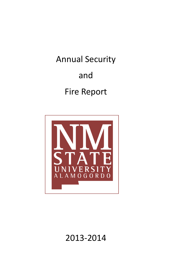Annual Security and Fire Report



2013-2014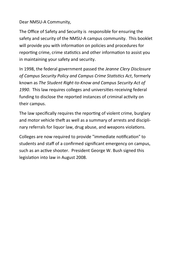#### Dear NMSU-A Community,

The Office of Safety and Security is responsible for ensuring the safety and security of the NMSU-A campus community. This booklet will provide you with information on policies and procedures for reporting crime, crime statistics and other information to assist you in maintaining your safety and security.

In 1998, the federal government passed the *Jeanne Clery Disclosure of Campus Security Policy and Campus Crime Statistics Act*, formerly known as *The Student Right-to-Know and Campus Security Act of 1990*. This law requires colleges and universities receiving federal funding to disclose the reported instances of criminal activity on their campus.

The law specifically requires the reporting of violent crime, burglary and motor vehicle theft as well as a summary of arrests and disciplinary referrals for liquor law, drug abuse, and weapons violations.

Colleges are now required to provide "immediate notification" to students and staff of a confirmed significant emergency on campus, such as an active shooter. President George W. Bush signed this legislation into law in August 2008.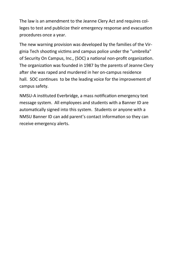The law is an amendment to the Jeanne Clery Act and requires colleges to test and publicize their emergency response and evacuation procedures once a year.

The new warning provision was developed by the families of the Virginia Tech shooting victims and campus police under the "umbrella" of Security On Campus, Inc., (SOC) a national non-profit organization. The organization was founded in 1987 by the parents of Jeanne Clery after she was raped and murdered in her on-campus residence hall. SOC continues to be the leading voice for the improvement of campus safety.

NMSU-A instituted Everbridge, a mass notification emergency text message system. All employees and students with a Banner ID are automatically signed into this system. Students or anyone with a NMSU Banner ID can add parent's contact information so they can receive emergency alerts.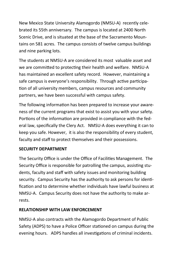New Mexico State University Alamogordo (NMSU-A) recently celebrated its 55th anniversary. The campus is located at 2400 North Scenic Drive, and is situated at the base of the Sacramento Mountains on 581 acres. The campus consists of twelve campus buildings and nine parking lots.

The students at NMSU-A are considered its most valuable asset and we are committed to protecting their health and welfare. NMSU-A has maintained an excellent safety record. However, maintaining a safe campus is everyone's responsibility. Through active participation of all university members, campus resources and community partners, we have been successful with campus safety.

The following information has been prepared to increase your awareness of the current programs that exist to assist you with your safety. Portions of the information are provided in compliance with the federal law, specifically the Clery Act. NMSU-A does everything it can to keep you safe. However, it is also the responsibility of every student, faculty and staff to protect themselves and their possessions.

### **SECURITY DEPARTMENT**

The Security Office is under the Office of Facilities Management. The Security Office is responsible for patrolling the campus, assisting students, faculty and staff with safety issues and monitoring building security. Campus Security has the authority to ask persons for identification and to determine whether individuals have lawful business at NMSU-A. Campus Security does not have the authority to make arrests.

### **RELATIONSHIP WITH LAW ENFORCEMENT**

NMSU-A also contracts with the Alamogordo Department of Public Safety (ADPS) to have a Police Officer stationed on campus during the evening hours. ADPS handles all investigations of criminal incidents.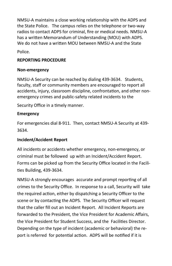NMSU-A maintains a close working relationship with the ADPS and the State Police. The campus relies on the telephone or two-way radios to contact ADPS for criminal, fire or medical needs. NMSU-A has a written Memorandum of Understanding (MOU) with ADPS. We do not have a written MOU between NMSU-A and the State

Police.

## **REPORTING PROCEDURE**

## **Non-emergency**

NMSU-A Security can be reached by dialing 439-3634. Students, faculty, staff or community members are encouraged to report all accidents, injury, classroom discipline, confrontation, and other nonemergency crimes and public-safety related incidents to the

Security Office in a timely manner.

## **Emergency**

For emergencies dial 8-911. Then, contact NMSU-A Security at 439- 3634.

### **Incident/Accident Report**

All incidents or accidents whether emergency, non-emergency, or criminal must be followed up with an Incident/Accident Report. Forms can be picked up from the Security Office located in the Facilities Building, 439-3634.

NMSU-A strongly encourages accurate and prompt reporting of all crimes to the Security Office. In response to a call, Security will take the required action, either by dispatching a Security Officer to the scene or by contacting the ADPS. The Security Officer will request that the caller fill out an Incident Report. All Incident Reports are forwarded to the President, the Vice President for Academic Affairs, the Vice President for Student Success, and the Facilities Director. Depending on the type of incident (academic or behavioral) the report is referred for potential action. ADPS will be notified if it is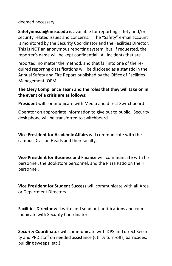deemed necessary.

**Safetynmsua@nmsu.edu** is available for reporting safety and/or security related issues and concerns. The "Safety" e-mail account is monitored by the Security Coordinator and the Facilities Director. This is NOT an anonymous reporting system, but if requested, the reporter's name will be kept confidential. All incidents that are

reported, no matter the method, and that fall into one of the required reporting classifications will be disclosed as a statistic in the Annual Safety and Fire Report published by the Office of Facilities Management (OFM).

#### **The Clery Compliance Team and the roles that they will take on in the event of a crisis are as follows:**

**President** will communicate with Media and direct Switchboard

Operator on appropriate information to give out to public. Security desk phone will be transferred to switchboard.

**Vice President for Academic Affairs** will communicate with the campus Division Heads and their faculty.

**Vice President for Business and Finance** will communicate with his personnel, the Bookstore personnel, and the Pizza Patio on the Hill personnel.

**Vice President for Student Success** will communicate with all Area or Department Directors.

**Facilities Director** will write and send out notifications and communicate with Security Coordinator.

**Security Coordinator** will communicate with DPS and direct Security and PPD staff on needed assistance (utility turn-offs, barricades, building sweeps, etc.).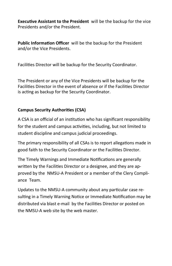**Executive Assistant to the President** will be the backup for the vice Presidents and/or the President.

**Public Information Officer** will be the backup for the President and/or the Vice Presidents.

Facilities Director will be backup for the Security Coordinator.

The President or any of the Vice Presidents will be backup for the Facilities Director in the event of absence or if the Facilities Director is acting as backup for the Security Coordinator.

## **Campus Security Authorities (CSA)**

A CSA is an official of an institution who has significant responsibility for the student and campus activities, including, but not limited to student discipline and campus judicial proceedings.

The primary responsibility of all CSAs is to report allegations made in good faith to the Security Coordinator or the Facilities Director.

The Timely Warnings and Immediate Notifications are generally written by the Facilities Director or a designee, and they are approved by the NMSU-A President or a member of the Clery Compliance Team.

Updates to the NMSU-A community about any particular case resulting in a Timely Warning Notice or Immediate Notification may be distributed via blast e-mail by the Facilities Director or posted on the NMSU-A web site by the web master.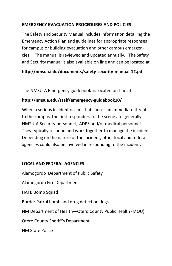#### **EMERGENCY EVACUATION PROCEDURES AND POLICIES**

The Safety and Security Manual includes information detailing the Emergency Action Plan and guidelines for appropriate responses for campus or building evacuation and other campus emergencies. The manual is reviewed and updated annually. The Safety and Security manual is also available on line and can be located at

# **http://nmsua.edu/documents/safety-security-manual-12.pdf**

The NMSU-A Emergency guidebook is located on-line at

# **http://nmsua.edu/staff/emergency-guidebook10/**

When a serious incident occurs that causes an immediate threat to the campus, the first responders to the scene are generally NMSU-A Security personnel, ADPS and/or medical personnel. They typically respond and work together to manage the incident. Depending on the nature of the incident, other local and federal agencies could also be involved in responding to the incident.

### **LOCAL AND FEDERAL AGENCIES**

Alamogordo Department of Public Safety Alamogordo Fire Department HAFB Bomb Squad Border Patrol bomb and drug detection dogs NM Department of Health—Otero County Public Health (MOU) Otero County Sheriff's Department NM State Police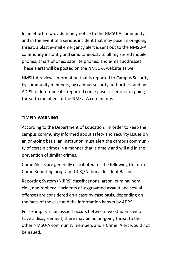In an effort to provide timely notice to the NMSU-A community, and in the event of a serious incident that may pose an on-going threat, a blast e-mail emergency alert is sent out to the NMSU-A community instantly and simultaneously to all registered mobile phones, smart phones, satellite phones, and e-mail addresses. These alerts will be posted on the NMSU-A website as well.

NMSU-A reviews information that is reported to Campus Security by community members, by campus security authorities, and by ADPS to determine if a reported crime poses a serious on-going threat to members of the NMSU-A community.

#### **TIMELY WARNING**

According to the Department of Education: In order to keep the campus community informed about safety and security issues on an on-going basis, an institution must alert the campus community of certain crimes in a manner that is timely and will aid in the prevention of similar crimes.

Crime Alerts are generally distributed for the following Uniform Crime Reporting program (UCR)/National Incident Based

Reporting System (NIBRS) classifications: arson, criminal homicide, and robbery. Incidents of aggravated assault and sexual offenses are considered on a case-by-case basis, depending on the facts of the case and the information known by ADPS.

For example, if an assault occurs between two students who have a disagreement, there may be no on-going threat to the other NMSU-A community members and a Crime Alert would not be issued.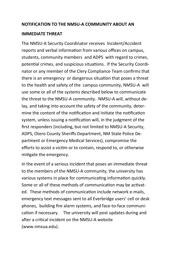#### **NOTIFICATION TO THE NMSU-A COMMUNITY ABOUT AN**

#### **IMMEDIATE THREAT**

The NMSU-A Security Coordinator receives Incident/Accident reports and verbal information from various offices on campus, students, community members and ADPS with regard to crimes, potential crimes, and suspicious situations. If the Security Coordinator or any member of the Clery Compliance Team confirms that there is an emergency or dangerous situation that poses a threat to the health and safety of the campus community, NMSU-A will use some or all of the systems described below to communicate the threat to the NMSU-A community. NMSU-A will, without delay, and taking into account the safety of the community, determine the content of the notification and initiate the notification system, unless issuing a notification will, in the judgment of the first responders (including, but not limited to NMSU-A Security, ADPS, Otero County Sheriffs Department, NM State Police Department or Emergency Medical Services), compromise the efforts to assist a victim or to contain, respond to, or otherwise mitigate the emergency.

In the event of a serious incident that poses an immediate threat to the members of the NMSU-A community, the university has various systems in place for communicating information quickly. Some or all of these methods of communication may be activated. These methods of communication include network e-mails, emergency text messages sent to all Everbridge users' cell or desk phones, building fire alarm systems, and face-to-face communication if necessary. . The university will post updates during and after a critical incident on the NMSU-A website (www.nmsua.edu).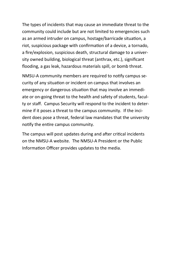The types of incidents that may cause an immediate threat to the community could include but are not limited to emergencies such as an armed intruder on campus, hostage/barricade situation, a riot, suspicious package with confirmation of a device, a tornado, a fire/explosion, suspicious death, structural damage to a university owned building, biological threat (anthrax, etc.), significant flooding, a gas leak, hazardous materials spill, or bomb threat.

NMSU-A community members are required to notify campus security of any situation or incident on campus that involves an emergency or dangerous situation that may involve an immediate or on-going threat to the health and safety of students, faculty or staff. Campus Security will respond to the incident to determine if it poses a threat to the campus community. If the incident does pose a threat, federal law mandates that the university notify the entire campus community.

The campus will post updates during and after critical incidents on the NMSU-A website. The NMSU-A President or the Public Information Officer provides updates to the media.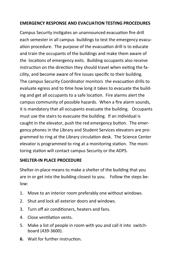### **EMERGENCY RESPONSE AND EVACUATION TESTING PROCEDURES**

Campus Security instigates an unannounced evacuation fire drill each semester in all campus buildings to test the emergency evacuation procedure. The purpose of the evacuation drill is to educate and train the occupants of the buildings and make them aware of the locations of emergency exits. Building occupants also receive instruction on the direction they should travel when exiting the facility, and become aware of fire issues specific to their building. The campus Security Coordinator monitors the evacuation drills to evaluate egress and to time how long it takes to evacuate the building and get all occupants to a safe location. Fire alarms alert the campus community of possible hazards. When a fire alarm sounds, it is mandatory that all occupants evacuate the building. Occupants must use the stairs to evacuate the building. If an individual is caught in the elevator, push the red emergency button. The emergency phones in the Library and Student Services elevators are programmed to ring at the Library circulation desk. The Science Center elevator is programmed to ring at a monitoring station. The monitoring station will contact campus Security or the ADPS.

### **SHELTER-IN PLACE PROCEDURE**

Shelter-in-place means to make a shelter of the building that you are in or get into the building closest to you. Follow the steps below:

- 1. Move to an interior room preferably one without windows.
- 2. Shut and lock all exterior doors and windows.
- 3. Turn off air conditioners, heaters and fans.
- 4. Close ventilation vents.
- 5. Make a list of people in room with you and call it into switchboard (439-3600).
- **6.** Wait for further instruction.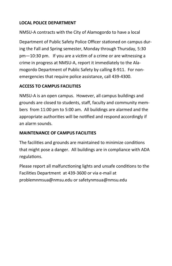# **LOCAL POLICE DEPARTMENT**

NMSU-A contracts with the City of Alamogordo to have a local

Department of Public Safety Police Officer stationed on campus during the Fall and Spring semester, Monday through Thursday, 5:30 pm—10:30 pm. If you are a victim of a crime or are witnessing a crime in progress at NMSU-A, report it immediately to the Alamogordo Department of Public Safety by calling 8-911. For nonemergencies that require police assistance, call 439-4300.

### **ACCESS TO CAMPUS FACILITIES**

NMSU-A is an open campus. However, all campus buildings and grounds are closed to students, staff, faculty and community members from 11:00 pm to 5:00 am. All buildings are alarmed and the appropriate authorities will be notified and respond accordingly if an alarm sounds.

## **MAINTENANCE OF CAMPUS FACILITIES**

The facilities and grounds are maintained to minimize conditions that might pose a danger. All buildings are in compliance with ADA regulations.

Please report all malfunctioning lights and unsafe conditions to the Facilities Department at 439-3600 or via e-mail at problemnmsua@nmsu.edu or safetynmsua@nmsu.edu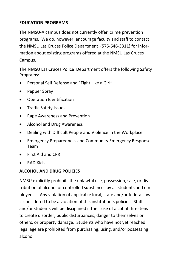## **EDUCATION PROGRAMS**

The NMSU-A campus does not currently offer crime prevention programs. We do, however, encourage faculty and staff to contact the NMSU Las Cruces Police Department (575-646-3311) for information about existing programs offered at the NMSU Las Cruces Campus.

The NMSU Las Cruces Police Department offers the following Safety Programs:

- Personal Self Defense and "Fight Like a Girl"
- Pepper Spray
- Operation Identification
- Traffic Safety Issues
- Rape Awareness and Prevention
- Alcohol and Drug Awareness
- Dealing with Difficult People and Violence in the Workplace
- Emergency Preparedness and Community Emergency Response Team
- First Aid and CPR
- RAD Kids

### **ALCOHOL AND DRUG POLICIES**

NMSU explicitly prohibits the unlawful use, possession, sale, or distribution of alcohol or controlled substances by all students and employees. Any violation of applicable local, state and/or federal law is considered to be a violation of this institution's policies. Staff and/or students will be disciplined if their use of alcohol threatens to create disorder, public disturbances, danger to themselves or others, or property damage. Students who have not yet reached legal age are prohibited from purchasing, using, and/or possessing alcohol.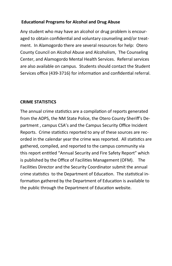#### **Educational Programs for Alcohol and Drug Abuse**

Any student who may have an alcohol or drug problem is encouraged to obtain confidential and voluntary counseling and/or treatment. In Alamogordo there are several resources for help: Otero County Council on Alcohol Abuse and Alcoholism, The Counseling Center, and Alamogordo Mental Health Services. Referral services are also available on campus. Students should contact the Student Services office (439-3716) for information and confidential referral.

#### **CRIME STATISTICS**

The annual crime statistics are a compilation of reports generated from the ADPS, the NM State Police, the Otero County Sheriff's Department , campus CSA's and the Campus Security Office Incident Reports. Crime statistics reported to any of these sources are recorded in the calendar year the crime was reported. All statistics are gathered, compiled, and reported to the campus community via this report entitled "Annual Security and Fire Safety Report" which is published by the Office of Facilities Management (OFM). The Facilities Director and the Security Coordinator submit the annual crime statistics to the Department of Education. The statistical information gathered by the Department of Education is available to the public through the Department of Education website.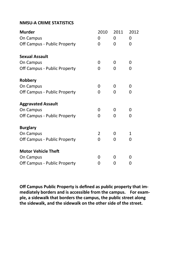#### **NMSU-A CRIME STATISTICS**

| <b>Murder</b>                | 2010 | 2011 | 2012   |  |
|------------------------------|------|------|--------|--|
| On Campus                    | 0    | 0    | 0<br>0 |  |
| Off Campus - Public Property | 0    | 0    |        |  |
| <b>Sexual Assault</b>        |      |      |        |  |
| On Campus                    | 0    | 0    | 0      |  |
| Off Campus - Public Property | 0    | 0    | 0      |  |
| Robbery                      |      |      |        |  |
| On Campus                    | 0    | 0    | 0      |  |
| Off Campus - Public Property | 0    | 0    | 0      |  |
| <b>Aggravated Assault</b>    |      |      |        |  |
| On Campus                    | 0    | 0    | 0      |  |
| Off Campus - Public Property | 0    | 0    | 0      |  |
| <b>Burglary</b>              |      |      |        |  |
| On Campus                    | 2    | 0    | 1      |  |
| Off Campus - Public Property | 0    | 0    | 0      |  |
| <b>Motor Vehicle Theft</b>   |      |      |        |  |
| On Campus                    | 0    | 0    | 0      |  |
| Off Campus - Public Property | 0    | 0    | 0      |  |

**Off Campus Public Property is defined as public property that immediately borders and is accessible from the campus. For example, a sidewalk that borders the campus, the public street along the sidewalk, and the sidewalk on the other side of the street.**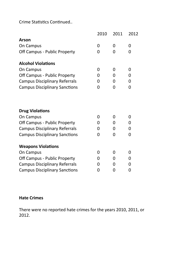Crime Statistics Continued..

|                                      | 2010 | 2011 | 2012 |
|--------------------------------------|------|------|------|
| Arson                                |      |      |      |
| On Campus                            | 0    | 0    | 0    |
| Off Campus - Public Property         | 0    | 0    | 0    |
| <b>Alcohol Violations</b>            |      |      |      |
| On Campus                            | 0    | 0    | 0    |
| Off Campus - Public Property         | 0    | 0    | 0    |
| <b>Campus Disciplinary Referrals</b> | 0    | 0    | 0    |
| <b>Campus Disciplinary Sanctions</b> | 0    | O    | 0    |
|                                      |      |      |      |
|                                      |      |      |      |
| <b>Drug Violations</b>               |      |      |      |
| On Campus                            | 0    | 0    | 0    |
| Off Campus - Public Property         | 0    | 0    | 0    |
| <b>Campus Disciplinary Referrals</b> | 0    | 0    | 0    |
| <b>Campus Disciplinary Sanctions</b> | 0    | 0    | 0    |
| <b>Weapons Violations</b>            |      |      |      |
| On Campus                            | 0    | 0    | 0    |
| Off Campus - Public Property         | 0    | 0    | 0    |
| <b>Campus Disciplinary Referrals</b> | 0    | 0    | 0    |
| <b>Campus Disciplinary Sanctions</b> | 0    | 0    | 0    |
|                                      |      |      |      |

## **Hate Crimes**

There were no reported hate crimes for the years 2010, 2011, or 2012.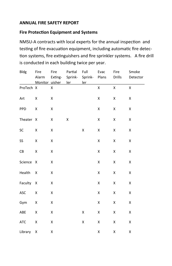#### **ANNUAL FIRE SAFETY REPORT**

#### **Fire Protection Equipment and Systems**

NMSU-A contracts with local experts for the annual inspection and testing of fire evacuation equipment, including automatic fire detection systems, fire extinguishers and fire sprinkler systems. A fire drill is conducted in each building twice per year.

| <b>Bldg</b> | Fire<br>Alarm | Fire<br>Exting- | Partial<br>Sprink-<br>Monitor uisher ler | Full<br>Sprink- Plans<br>ler | Evac         | Fire<br>Drills     | Smoke<br>Detector  |
|-------------|---------------|-----------------|------------------------------------------|------------------------------|--------------|--------------------|--------------------|
| ProTech X   |               | Χ               |                                          |                              | $\mathsf{x}$ | $\pmb{\mathsf{X}}$ | $\pmb{\mathsf{X}}$ |
| Art         | Χ             | X               |                                          |                              | Χ            | Χ                  | Χ                  |
| PPD         | X             | X               |                                          |                              | Χ            | X                  | Χ                  |
| Theater X   |               | X               | Χ                                        |                              | Χ            | Χ                  | Χ                  |
| SC          | Χ             | Χ               |                                          | Χ                            | X            | X                  | Χ                  |
| SS          | Χ             | X               |                                          |                              | Χ            | Χ                  | Χ                  |
| CB          | Χ             | Χ               |                                          |                              | X            | Χ                  | Χ                  |
| Science     | X             | X               |                                          |                              | X            | X                  | X                  |
| Health      | Χ             | Χ               |                                          |                              | X            | X                  | Χ                  |
| Faculty     | Χ             | Χ               |                                          |                              | Χ            | X                  | Χ                  |
| ASC         | Χ             | X               |                                          |                              | Χ            | X                  | X                  |
| Gym         | Χ             | X               |                                          |                              | Χ            | Χ                  | Χ                  |
| ABE         | X             | X               |                                          | Χ                            | Χ            | Χ                  | Χ                  |
| ATC         | X             | X               |                                          | X                            | Χ            | Χ                  | X                  |
| Library     | Χ             | Χ               |                                          |                              | X            | $\pmb{\mathsf{X}}$ | Χ                  |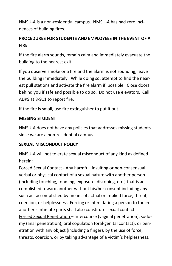NMSU-A is a non-residential campus. NMSU-A has had zero incidences of building fires.

# **PROCEDURES FOR STUDENTS AND EMPLOYEES IN THE EVENT OF A FIRE**

If the fire alarm sounds, remain calm and immediately evacuate the building to the nearest exit.

If you observe smoke or a fire and the alarm is not sounding, leave the building immediately. While doing so, attempt to find the nearest pull stations and activate the fire alarm if possible. Close doors behind you if safe and possible to do so. Do not use elevators. Call ADPS at 8-911 to report fire.

If the fire is small, use fire extinguisher to put it out.

#### **MISSING STUDENT**

NMSU-A does not have any policies that addresses missing students since we are a non-residential campus.

### **SEXUAL MISCONDUCT POLICY**

NMSU-A will not tolerate sexual misconduct of any kind as defined herein:

Forced Sexual Contact - Any harmful, insulting or non-consensual verbal or physical contact of a sexual nature with another person (including touching, fondling, exposure, disrobing, etc.) that is accomplished toward another without his/her consent including any such act accomplished by means of actual or implied force, threat, coercion, or helplessness. Forcing or intimidating a person to touch another's intimate parts shall also constitute sexual contact. Forced Sexual Penetration – Intercourse (vaginal penetration); sodomy (anal penetration); oral copulation (oral-genital contact); or penetration with any object (including a finger), by the use of force, threats, coercion, or by taking advantage of a victim's helplessness.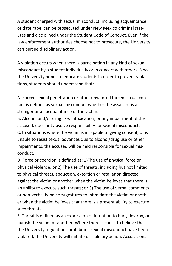A student charged with sexual misconduct, including acquaintance or date rape, can be prosecuted under New Mexico criminal statutes and disciplined under the Student Code of Conduct. Even if the law enforcement authorities choose not to prosecute, the University can pursue disciplinary action.

A violation occurs when there is participation in any kind of sexual misconduct by a student individually or in concert with others. Since the University hopes to educate students in order to prevent violations, students should understand that:

A. Forced sexual penetration or other unwanted forced sexual contact is defined as sexual misconduct whether the assailant is a stranger or an acquaintance of the victim.

B. Alcohol and/or drug use, intoxication, or any impairment of the accused, does not absolve responsibility for sexual misconduct. C. In situations where the victim is incapable of giving consent, or is unable to resist sexual advances due to alcohol/drug use or other impairments, the accused will be held responsible for sexual misconduct.

D. Force or coercion is defined as: 1)The use of physical force or physical violence; or 2) The use of threats, including but not limited to physical threats, abduction, extortion or retaliation directed against the victim or another when the victim believes that there is an ability to execute such threats; or 3) The use of verbal comments or non-verbal behaviors/gestures to intimidate the victim or another when the victim believes that there is a present ability to execute such threats.

E. Threat is defined as an expression of intention to hurt, destroy, or punish the victim or another. Where there is cause to believe that the University regulations prohibiting sexual misconduct have been violated, the University will initiate disciplinary action. Accusations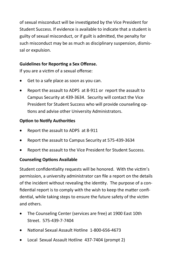of sexual misconduct will be investigated by the Vice President for Student Success. If evidence is available to indicate that a student is guilty of sexual misconduct, or if guilt is admitted, the penalty for such misconduct may be as much as disciplinary suspension, dismissal or expulsion.

## **Guidelines for Reporting a Sex Offense.**

If you are a victim of a sexual offense:

- Get to a safe place as soon as you can.
- Report the assault to ADPS at 8-911 or report the assault to Campus Security at 439-3634. Security will contact the Vice President for Student Success who will provide counseling options and advise other University Administrators.

## **Option to Notify Authorities**

- Report the assault to ADPS at 8-911
- Report the assault to Campus Security at 575-439-3634
- Report the assault to the Vice President for Student Success.

# **Counseling Options Available**

Student confidentiality requests will be honored. With the victim's permission, a university administrator can file a report on the details of the incident without revealing the identity. The purpose of a confidential report is to comply with the wish to keep the matter confidential, while taking steps to ensure the future safety of the victim and others.

- The Counseling Center (services are free) at 1900 East 10th Street. 575-439-7-7404
- National Sexual Assault Hotline 1-800-656-4673
- Local Sexual Assault Hotline 437-7404 (prompt 2)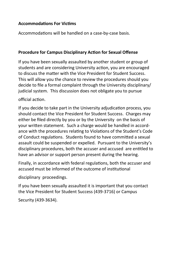#### **Accommodations For Victims**

Accommodations will be handled on a case-by-case basis.

#### **Procedure for Campus Disciplinary Action for Sexual Offense**

If you have been sexually assaulted by another student or group of students and are considering University action, you are encouraged to discuss the matter with the Vice President for Student Success. This will allow you the chance to review the procedures should you decide to file a formal complaint through the University disciplinary/ judicial system. This discussion does not obligate you to pursue

#### official action.

If you decide to take part in the University adjudication process, you should contact the Vice President for Student Success. Charges may either be filed directly by you or by the University on the basis of your written statement. Such a charge would be handled in accordance with the procedures relating to Violations of the Student's Code of Conduct regulations. Students found to have committed a sexual assault could be suspended or expelled. Pursuant to the University's disciplinary procedures, both the accuser and accused are entitled to have an advisor or support person present during the hearing.

Finally, in accordance with federal regulations, both the accuser and accused must be informed of the outcome of institutional

disciplinary proceedings.

If you have been sexually assaulted it is important that you contact the Vice President for Student Success (439-3716) or Campus

Security (439-3634).